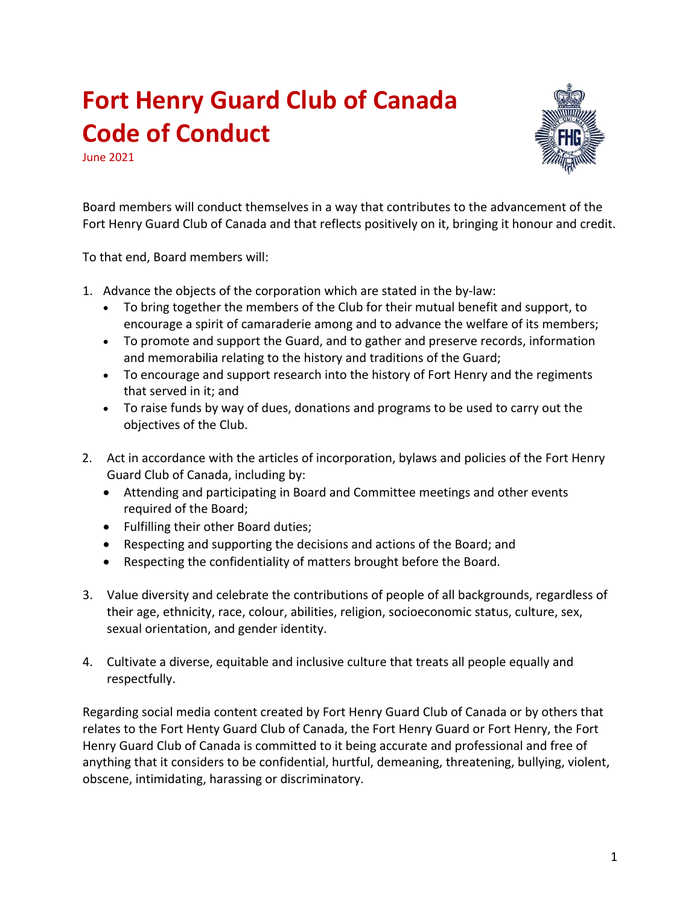## **Fort Henry Guard Club of Canada Code of Conduct**

June 2021



Board members will conduct themselves in a way that contributes to the advancement of the Fort Henry Guard Club of Canada and that reflects positively on it, bringing it honour and credit.

To that end, Board members will:

- 1. Advance the objects of the corporation which are stated in the by-law:
	- To bring together the members of the Club for their mutual benefit and support, to encourage a spirit of camaraderie among and to advance the welfare of its members;
	- To promote and support the Guard, and to gather and preserve records, information and memorabilia relating to the history and traditions of the Guard;
	- To encourage and support research into the history of Fort Henry and the regiments that served in it; and
	- To raise funds by way of dues, donations and programs to be used to carry out the objectives of the Club.
- 2. Act in accordance with the articles of incorporation, bylaws and policies of the Fort Henry Guard Club of Canada, including by:
	- Attending and participating in Board and Committee meetings and other events required of the Board;
	- Fulfilling their other Board duties;
	- Respecting and supporting the decisions and actions of the Board; and
	- Respecting the confidentiality of matters brought before the Board.
- 3. Value diversity and celebrate the contributions of people of all backgrounds, regardless of their age, ethnicity, race, colour, abilities, religion, socioeconomic status, culture, sex, sexual orientation, and gender identity.
- 4. Cultivate a diverse, equitable and inclusive culture that treats all people equally and respectfully.

Regarding social media content created by Fort Henry Guard Club of Canada or by others that relates to the Fort Henty Guard Club of Canada, the Fort Henry Guard or Fort Henry, the Fort Henry Guard Club of Canada is committed to it being accurate and professional and free of anything that it considers to be confidential, hurtful, demeaning, threatening, bullying, violent, obscene, intimidating, harassing or discriminatory.